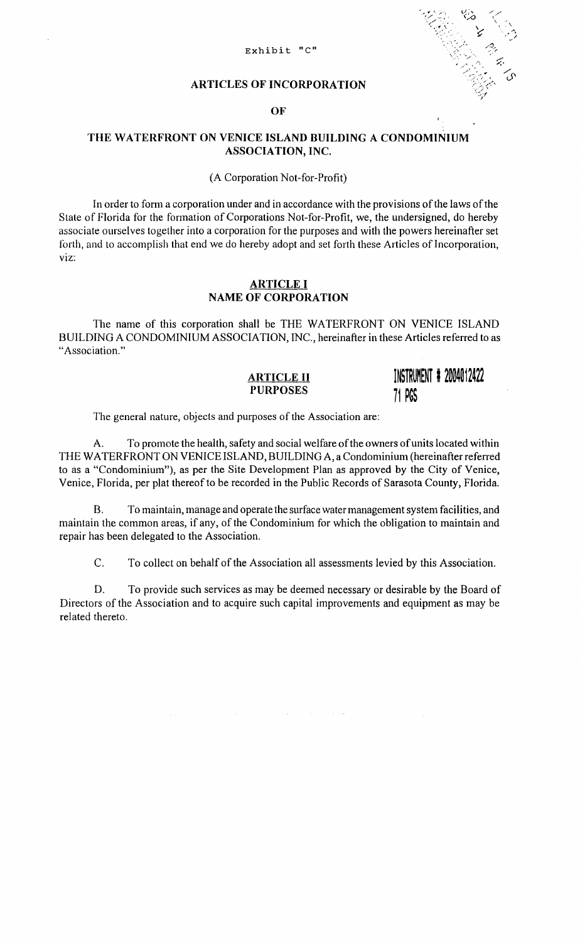#### Exhibit "C"



#### ARTICLES OF INCORPORATION

#### OF

### THE WATERFRONT ON VENICE ISLAND BUILDING A CONDOMINIUM ASSOCIATION, INC.

#### (A Corporation Not-for-Profit)

In order to form a corporation under and in accordance with the provisions of the laws of the State of Florida for the formation of Corporations Not-for-Profit, we, the undersigned, do hereby associate ourselves together into a corporation for the purposes and with the powers hereinafter set forth, and to accomplish that end we do hereby adopt and set forth these Articles of Incorporation, VIZ:

#### ARTICLE I NAME OF CORPORATION

The name of this corporation shall be THE WATERFRONT ON VENICE ISLAND BUILDING A CONDOMINIUM ASSOCIATION, INC., hereinafter in these Articles referred to as "Association."

#### ARTICLE II PURPOSES

INSTRUMENT # 2004012422 71 PGS

The general nature, objects and purposes of the Association are:

A. To promote the health, safety and social welfare of the owners of units located within THE WATERFRONT ON VENICE ISLAND, BUILDING A, a Condominium (hereinafter referred to as a "Condominium"), as per the Site Development Plan as approved by the City of Venice, Venice, Florida, per plat thereof to be recorded in the Public Records of Sarasota County, Florida.

B. To maintain, manage and operate the surface water management system facilities, and maintain the common areas, if any, of the Condominium for which the obligation to maintain and repair has been delegated to the Association.

C. To collect on behalf of the Association all assessments levied by this Association.

ستواد والمستحدث والمستحدث والمتعادل والمتعادلات

D. To provide such services as may be deemed necessary or desirable by the Board of Directors of the Association and to acquire such capital improvements and equipment as may be related thereto.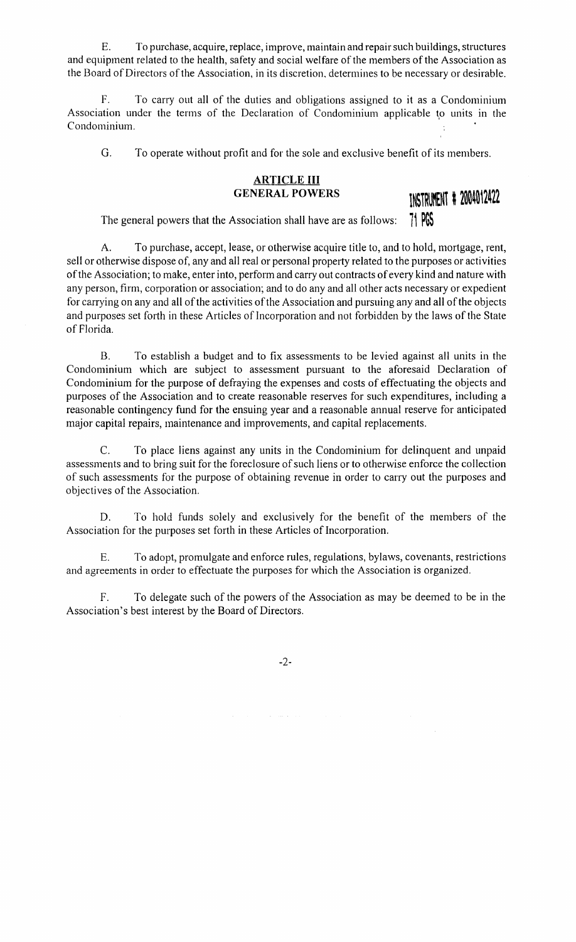E. To purchase, acquire, replace, improve, maintain and repair such buildings, structures and equipment related to the health, safety and social welfare of the members of the Association as the Board of Directors of the Association, in its discretion, determines to be necessary or desirable.

F. To carry out all of the duties and obligations assigned to it as a Condominium Association under the terms of the Declaration of Condominium applicable to units in the Condominium.

G. To operate without profit and for the sole and exclusive benefit of its members.

### **ARTICLE III GENERAL POWERS**



The general powers that the Association shall have are as follows:

A. To purchase, accept, lease, or otherwise acquire title to, and to hold, mortgage, rent, sell or otherwise dispose of, any and all real or personal property related to the purposes or activities of the Association; to make, enter into, perform and carry out contracts of every kind and nature with any person, firm, corporation or association; and to do any and all other acts necessary or expedient for carrying on any and all of the activities of the Association and pursuing any and all of the objects and purposes set forth in these Articles of Incorporation and not forbidden by the laws of the State of Florida.

B. To establish a budget and to fix assessments to be levied against all units in the Condominium which are subject to assessment pursuant to the aforesaid Declaration of Condominium for the purpose of defraying the expenses and costs of effectuating the objects and purposes of the Association and to create reasonable reserves for such expenditures, including a reasonable contingency fund for the ensuing year and a reasonable annual reserve for anticipated major capital repairs, maintenance and improvements, and capital replacements.

C. To place liens against any units in the Condominium for delinquent and unpaid assessments and to bring suit for the foreclosure of such liens or to otherwise enforce the collection of such assessments for the purpose of obtaining revenue in order to carry out the purposes and objectives of the Association.

D. To hold funds solely and exclusively for the benefit of the members of the Association for the purposes set forth in these Articles of Incorporation.

E. To adopt, promulgate and enforce rules, regulations, bylaws, covenants, restrictions and agreements in order to effectuate the purposes for which the Association is organized.

F. To delegate such of the powers of the Association as may be deemed to be in the Association's best interest by the Board of Directors.

-2-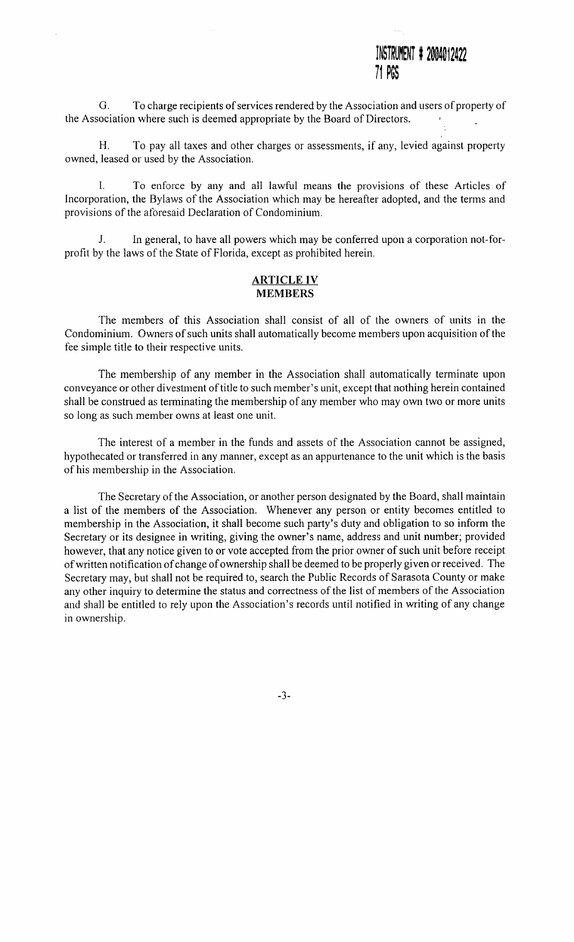## INSTRUMENT # 2004012422 **/1** ~~~

G. To charge recipients of services rendered by the Association and users of property of the Association where such is deemed appropriate by the Board of Directors.

H. To pay all taxes and other charges or assessments, if any, levied against property owned, leased or used by the Association.

I. To enforce by any and all lawful means the provisions of these Articles of Incorporation, the Bylaws of the Association which may be hereafter adopted, and the terms and provisions of the aforesaid Declaration of Condominium.

J. In general, to have all powers which may be conferred upon a corporation not-forprofit by the laws of the State of Florida, except as prohibited herein.

#### **ARTICLE IV MEMBERS**

The members of this Association shall consist of all of the owners of units in the Condominium. Owners of such units shall automatically become members upon acquisition of the fee simple title to their respective units.

The membership of any member in the Association shall automatically terminate upon conveyance or other divestment of title to such member's unit, except that nothing herein contained shall be construed as terminating the membership of any member who may own two or more units so long as such member owns at least one unit.

The interest of a member in the funds and assets of the Association cannot be assigned, hypothecated or transferred in any manner, except as an appurtenance to the unit which is the basis of his membership in the Association.

The Secretary of the Association, or another person designated by the Board, shall maintain a list of the members of the Association. Whenever any person or entity becomes entitled to membership in the Association, it shall become such party's duty and obligation to so inform the Secretary or its designee in writing, giving the owner's name, address and unit number; provided however, that any notice given to or vote accepted from the prior owner of such unit before receipt of written notification of change of ownership shall be deemed to be properly given or received. The Secretary may, but shall not be required to, search the Public Records of Sarasota County or make any other inquiry to determine the status and correctness of the list of members of the Association and shall be entitled to rely upon the Association's records until notified in writing of any change in ownership.

-3-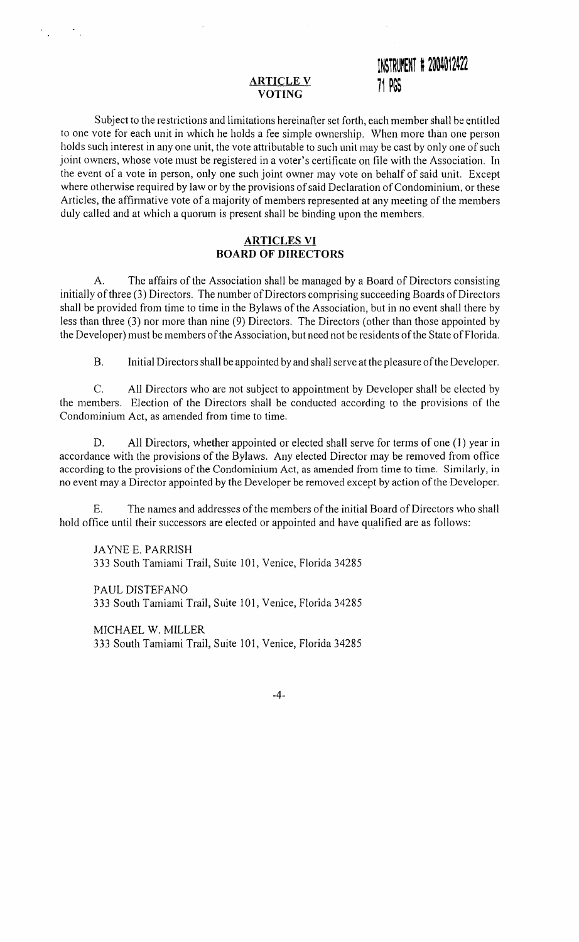### **ARTICLE V VOTING**

## INSTRUMENT **# 2004012422 11** ~~~

Subject to the restrictions and limitations hereinafter set forth, each member shall be entitled to one vote for each unit in which he holds a fee simple ownership. When more than one person holds such interest in any one unit, the vote attributable to such unit may be cast by only one of such joint owners, whose vote must be registered in a voter's certificate on file with the Association. In the event of a vote in person, only one such joint owner may vote on behalf of said unit. Except where otherwise required by law or by the provisions of said Declaration of Condominium, or these Articles, the affirmative vote of a majority of members represented at any meeting of the members duly called and at which a quorum is present shall be binding upon the members.

## **ARTICLES VI BOARD OF DIRECTORS**

A. The affairs of the Association shall be managed by a Board of Directors consisting initially of three (3) Directors. The number of Directors comprising succeeding Boards of Directors shall be provided from time to time in the Bylaws of the Association, but in no event shall there by less than three (3) nor more than nine (9) Directors. The Directors (other than those appointed by the Developer) must be members of the Association, but need not be residents of the State of Florida.

B. Initial Directors shall be appointed by and shall serve at the pleasure of the Developer.

C. All Directors who are not subject to appointment by Developer shall be elected by the members. Election of the Directors shall be conducted according to the provisions of the Condominium Act, as amended from time to time.

D. All Directors, whether appointed or elected shall serve for terms of one (1) year in accordance with the provisions of the Bylaws. Any elected Director may be removed from office according to the provisions of the Condominium Act, as amended from time to time. Similarly, in no event may a Director appointed by the Developer be removed except by action of the Developer.

E. The names and addresses of the members of the initial Board of Directors who shall hold office until their successors are elected or appointed and have qualified are as follows:

JAYNE E. PARRISH 333 South Tamiami Trail, Suite 101, Venice, Florida 34285

PAUL DISTEFANO 333 South Tamiami Trail, Suite 101, Venice, Florida 34285

MICHAEL W. MILLER 333 South Tamiami Trail, Suite 101, Venice, Florida 34285

-4-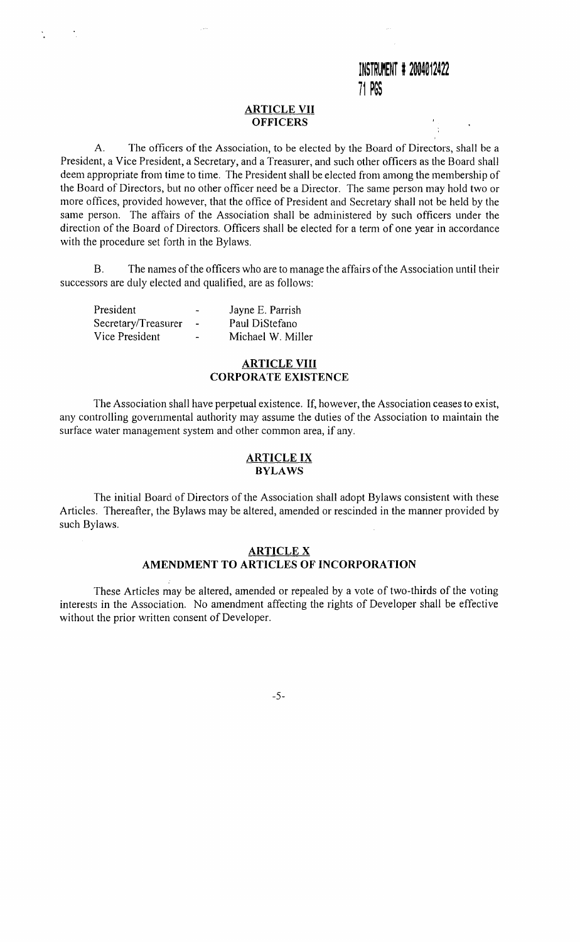#### **ARTICLE VII OFFICERS**

A. The officers of the Association, to be elected by the Board of Directors, shall be a President, a Vice President, a Secretary, and a Treasurer, and such other officers as the Board shall deem appropriate from time to time. The President shall be elected from among the membership of the Board of Directors, but no other officer need be a Director. The same person may hold two or more offices, provided however, that the office of President and Secretary shall not be held by the same person. The affairs of the Association shall be administered by such officers under the direction of the Board of Directors. Officers shall be elected for a term of one year in accordance with the procedure set forth in the Bylaws.

B. The names of the officers who are to manage the affairs of the Association until their successors are duly elected and qualified, are as follows:

| President           | $\sim$         | Jayne E. Parrish  |
|---------------------|----------------|-------------------|
| Secretary/Treasurer | $\blacksquare$ | Paul DiStefano    |
| Vice President      | $\blacksquare$ | Michael W. Miller |

#### **ARTICLE VIII CORPORATE EXISTENCE**

The Association shall have perpetual existence. If, however, the Association ceases to exist, any controlling governmental authority may assume the duties of the Association to maintain the surface water management system and other common area, if any.

#### **ARTICLE IX BYLAWS**

The initial Board of Directors of the Association shall adopt Bylaws consistent with these Articles. Thereafter, the Bylaws may be altered, amended or rescinded in the manner provided by such Bylaws.

#### **ARTICLE X AMENDMENT TO ARTICLES OF INCORPORATION**

These Articles may be altered, amended or repealed by a vote of two-thirds of the voting interests in the Association. No amendment affecting the rights of Developer shall be effective without the prior written consent of Developer.

-5-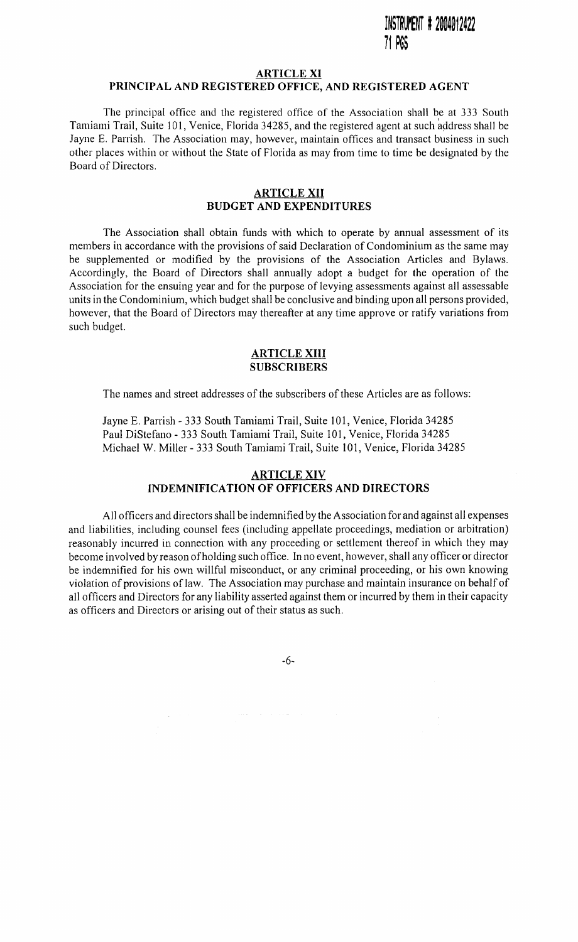## INSTRUMENT # 2004012422 **/l** ~~~

#### **ARTICLE XI**

#### **PRINCIPAL AND REGISTERED OFFICE, AND REGISTERED AGENT**

The principal office and the registered office of the Association shall be at 333 South Tamiami Trail, Suite 101, Venice, Florida 34285, and the registered agent at such address shall be Jayne E. Parrish. The Association may, however, maintain offices and transact business in such other places within or without the State of Florida as may from time to time be designated by the Board of Directors.

#### **ARTICLE XII BUDGET AND EXPENDITURES**

The Association shall obtain funds with which to operate by annual assessment of its members in accordance with the provisions of said Declaration of Condominium as the same may be supplemented or modified by the provisions of the Association Articles and Bylaws. Accordingly, the Board of Directors shall annually adopt a budget for the operation of the Association for the ensuing year and for the purpose of levying assessments against all assessable units in the Condominium, which budget shall be conclusive and binding upon all persons provided, however, that the Board of Directors may thereafter at any time approve or ratify variations from such budget.

#### **ARTICLE XIII SUBSCRIBERS**

The names and street addresses of the subscribers of these Articles are as follows:

Jayne E. Parrish - 333 South Tamiami Trail, Suite 101, Venice, Florida 34285 Paul DiStefano - 333 South Tamiami Trail, Suite 101, Venice, Florida 34285 Michael W. Miller- 333 South Tamiami Trail, Suite IOI, Venice, Florida 34285

## **ARTICLE XIV**

## **INDEMNIFICATION OF OFFICERS AND DIRECTORS**

All officers and directors shall be indemnified by the Association for and against all expenses and liabilities, including counsel fees (including appellate proceedings, mediation or arbitration) reasonably incurred in connection with any proceeding or settlement thereof in which they may become involved by reason ofholding such office. In no event, however, shall any officer or director be indemnified for his own willful misconduct, or any criminal proceeding, or his own knowing violation of provisions of law. The Association may purchase and maintain insurance on behalf of all officers and Directors for any liability asserted against them or incurred by them in their capacity as officers and Directors or arising out of their status as such.

-6-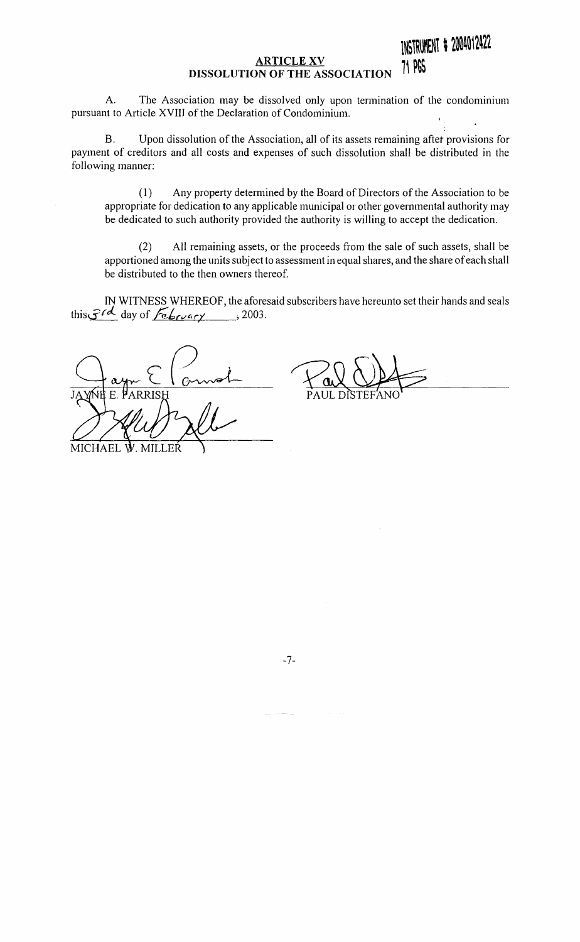#### **ARTICLE XV DISSOLUTION OF THE ASSOCIATION**  INSTRUMENT # 2004012422 ~~ **PGS**

A. The Association may be dissolved only upon termination of the condominium pursuant to Article XVIII of the Declaration of Condominium.

B. Upon dissolution ofthe Association, all of its assets remaining aftet provisions for payment of creditors and all costs and expenses of such dissolution shall be distributed in the following manner:

(I) Any property determined by the Board of Directors of the Association to be appropriate for dedication to any applicable municipal or other governmental authority may be dedicated to such authority provided the authority is willing to accept the dedication.

(2) All remaining assets, or the proceeds from the sale of such assets, shall be apportioned among the units subject to assessment in equal shares, and the share of each shall be distributed to the then owners thereof.

IN WITNESS WHEREOF, the aforesaid subscribers have hereunto set their hands and seals this  $\mathcal{F}^{\prime\prime}$  day of  $\mathcal{F}_{\mathbf{e}}$ *bruary* , 2003.

MICHAEL